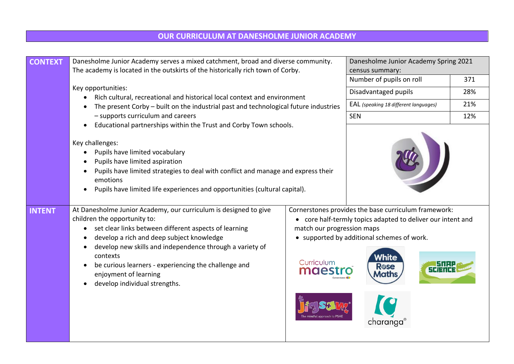## **OUR CURRICULUM AT DANESHOLME JUNIOR ACADEMY**

| <b>CONTEXT</b> | Danesholme Junior Academy serves a mixed catchment, broad and diverse community.<br>The academy is located in the outskirts of the historically rich town of Corby.<br>Key opportunities:<br>Rich cultural, recreational and historical local context and environment<br>The present Corby - built on the industrial past and technological future industries<br>- supports curriculum and careers<br>Educational partnerships within the Trust and Corby Town schools.<br>$\bullet$<br>Key challenges:<br>Pupils have limited vocabulary<br>Pupils have limited aspiration<br>$\bullet$<br>Pupils have limited strategies to deal with conflict and manage and express their<br>emotions<br>Pupils have limited life experiences and opportunities (cultural capital).<br>$\bullet$ |                                                               | Danesholme Junior Academy Spring 2021<br>census summary:                                                                                                                                                        |     |
|----------------|--------------------------------------------------------------------------------------------------------------------------------------------------------------------------------------------------------------------------------------------------------------------------------------------------------------------------------------------------------------------------------------------------------------------------------------------------------------------------------------------------------------------------------------------------------------------------------------------------------------------------------------------------------------------------------------------------------------------------------------------------------------------------------------|---------------------------------------------------------------|-----------------------------------------------------------------------------------------------------------------------------------------------------------------------------------------------------------------|-----|
|                |                                                                                                                                                                                                                                                                                                                                                                                                                                                                                                                                                                                                                                                                                                                                                                                      |                                                               | Number of pupils on roll                                                                                                                                                                                        | 371 |
|                |                                                                                                                                                                                                                                                                                                                                                                                                                                                                                                                                                                                                                                                                                                                                                                                      |                                                               | Disadvantaged pupils                                                                                                                                                                                            | 28% |
|                |                                                                                                                                                                                                                                                                                                                                                                                                                                                                                                                                                                                                                                                                                                                                                                                      |                                                               | EAL (speaking 18 different languages)                                                                                                                                                                           | 21% |
|                |                                                                                                                                                                                                                                                                                                                                                                                                                                                                                                                                                                                                                                                                                                                                                                                      |                                                               | <b>SEN</b>                                                                                                                                                                                                      | 12% |
|                |                                                                                                                                                                                                                                                                                                                                                                                                                                                                                                                                                                                                                                                                                                                                                                                      |                                                               |                                                                                                                                                                                                                 |     |
|                |                                                                                                                                                                                                                                                                                                                                                                                                                                                                                                                                                                                                                                                                                                                                                                                      |                                                               |                                                                                                                                                                                                                 |     |
| <b>INTENT</b>  | At Danesholme Junior Academy, our curriculum is designed to give<br>children the opportunity to:<br>set clear links between different aspects of learning<br>$\bullet$<br>develop a rich and deep subject knowledge<br>$\bullet$<br>develop new skills and independence through a variety of<br>$\bullet$<br>contexts<br>be curious learners - experiencing the challenge and<br>$\bullet$<br>enjoyment of learning<br>develop individual strengths.                                                                                                                                                                                                                                                                                                                                 | match our progression maps<br>Curriculum<br>maes <sup>®</sup> | Cornerstones provides the base curriculum framework:<br>• core half-termly topics adapted to deliver our intent and<br>• supported by additional schemes of work.<br>White<br><b>R</b> ose<br>Aaths<br>charanga |     |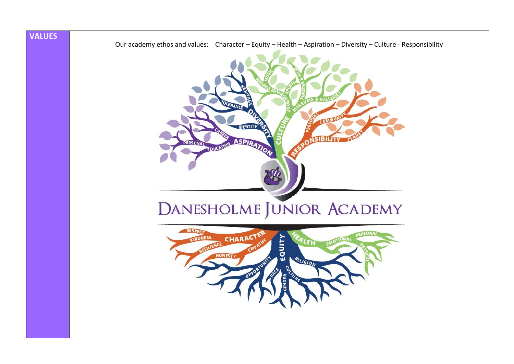